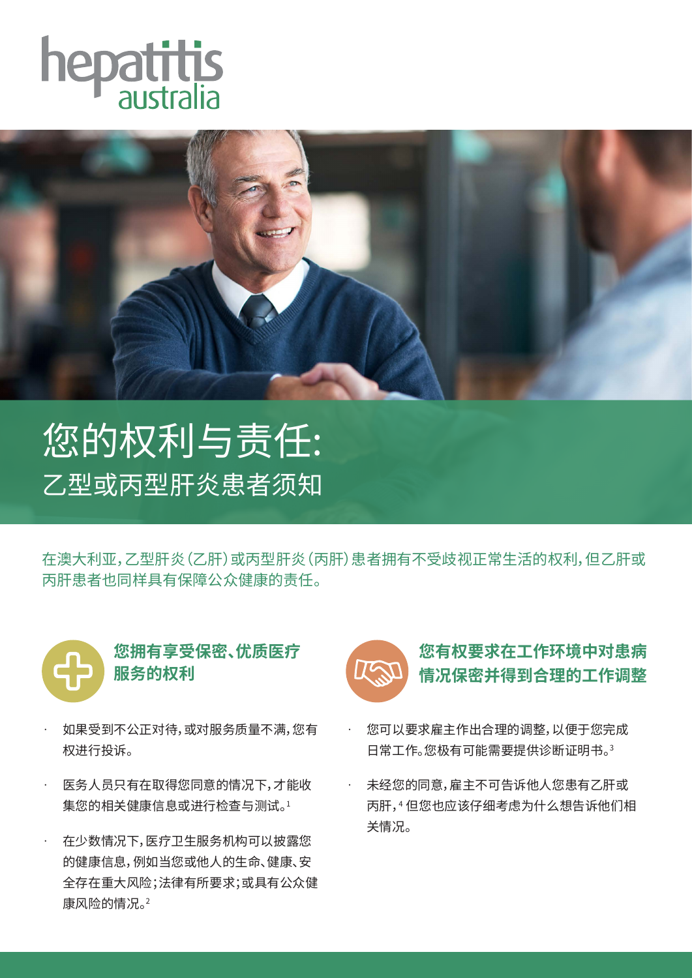



您的权利与责任: 乙型或丙型肝炎患者须知

在澳大利亚,乙型肝炎(乙肝)或丙型肝炎(丙肝)患者拥有不受歧视正常生活的权利,但乙肝或 丙肝患者也同样具有保障公众健康的责任。



**您拥有享受保密、优质医疗 服务的权利**

- · 如果受到不公正对待,或对服务质量不满,您有 权进行投诉。
- · 医务人员只有在取得您同意的情况下,才能收 集您的相关健康信息或进行检查与测试。1
- · 在少数情况下,医疗卫生服务机构可以披露您 的健康信息,例如当您或他人的生命、健康、安 全存在重大风险;法律有所要求;或具有公众健 康风险的情况。2



## **您有权要求在工作环境中对患病 情况保密并得到合理的工作调整**

- · 您可以要求雇主作出合理的调整,以便于您完成 日常工作。您极有可能需要提供诊断证明书。3
- · 未经您的同意,雇主不可告诉他人您患有乙肝或 丙肝,4 但您也应该仔细考虑为什么想告诉他们相 关情况。